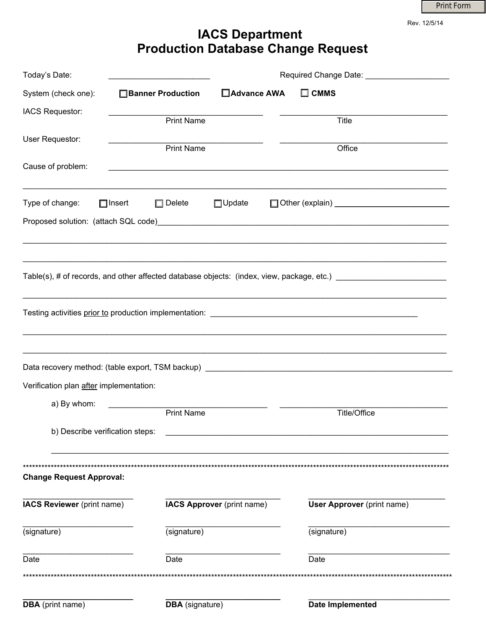Print Form

Rev. 12/5/14

## IACS Department<br>Production Database Change Request

| Today's Date:                           |                                   |                            |                                                                                                                       |
|-----------------------------------------|-----------------------------------|----------------------------|-----------------------------------------------------------------------------------------------------------------------|
| System (check one):                     | □ Banner Production               | □ Advance AWA              | $\square$ CMMS                                                                                                        |
| IACS Requestor:                         | <b>Print Name</b>                 |                            | Title                                                                                                                 |
|                                         |                                   |                            |                                                                                                                       |
| User Requestor:                         | <b>Print Name</b>                 |                            | Office                                                                                                                |
| Cause of problem:                       |                                   |                            | <u> 1989 - Johann Stoff, deutscher Stoff, der Stoff, der Stoff, der Stoff, der Stoff, der Stoff, der Stoff, der S</u> |
| Type of change:                         | $\Box$ Insert<br>$\square$ Delete | $\Box$ Update              |                                                                                                                       |
|                                         |                                   |                            |                                                                                                                       |
|                                         |                                   |                            |                                                                                                                       |
|                                         |                                   |                            |                                                                                                                       |
|                                         |                                   |                            |                                                                                                                       |
|                                         |                                   |                            | Data recovery method: (table export, TSM backup) ________________________________                                     |
| Verification plan after implementation: |                                   |                            |                                                                                                                       |
| a) By whom:                             | <b>Print Name</b>                 |                            | <b>Title/Office</b>                                                                                                   |
| b) Describe verification steps:         |                                   |                            |                                                                                                                       |
| <b>Change Request Approval:</b>         |                                   |                            |                                                                                                                       |
| IACS Reviewer (print name)              |                                   | IACS Approver (print name) | <b>User Approver</b> (print name)                                                                                     |
| (signature)                             | (signature)                       |                            | (signature)                                                                                                           |
| Date                                    | Date                              |                            | Date                                                                                                                  |
| ************************************    |                                   |                            |                                                                                                                       |
| <b>DBA</b> (print name)                 | <b>DBA</b> (signature)            |                            | Date Implemented                                                                                                      |